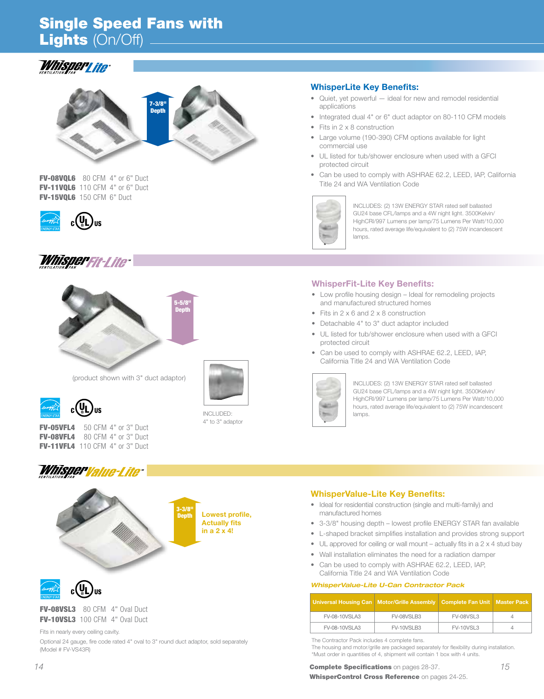## Single Speed Fans with Lights (On/Off)

### *Whispery ite:*



FV-08VQL6 80 CFM 4" or 6" Duct **FV-11VOL6** 110 CFM 4" or 6" Duct FV-15VQL6 150 CFM 6" Duct



### *Whisper Fit-Lite"*



(product shown with 3" duct adaptor)

INCLUDED: 4" to 3" adaptor

 $_{c}$ (U)<sub>us</sub>

FV-05VFL4 50 CFM 4" or 3" Duct FV-08VFL4 80 CFM 4" or 3" Duct FV-11VFL4 110 CFM 4" or 3" Duct

### *Whispervalue-Lite\**





FV-08VSL3 80 CFM 4" Oval Duct FV-10VSL3 100 CFM 4" Oval Duct

#### Fits in nearly every ceiling cavity.

Optional 24 gauge, fire code rated 4" oval to 3" round duct adaptor, sold separately (Model # FV-VS43R)

### WhisperLite Key Benefits:

- Quiet, yet powerful ideal for new and remodel residential applications
- Integrated dual 4" or 6" duct adaptor on 80-110 CFM models
- Fits in 2 x 8 construction
- Large volume (190-390) CFM options available for light commercial use
- UL listed for tub/shower enclosure when used with a GFCI protected circuit
- Can be used to comply with ASHRAE 62.2, LEED, IAP, California Title 24 and WA Ventilation Code



INCLUDES: (2) 13W ENERGY STAR rated self ballasted GU24 base CFL/lamps and a 4W night light. 3500Kelvin/ HighCRI/997 Lumens per lamp/75 Lumens Per Watt/10,000 hours, rated average life/equivalent to (2) 75W incandescent lamps

### WhisperFit-Lite Key Benefits:

- Low profile housing design Ideal for remodeling projects and manufactured structured homes
- Fits in 2 x 6 and 2 x 8 construction
- Detachable 4" to 3" duct adaptor included
- UL listed for tub/shower enclosure when used with a GFCI protected circuit
- Can be used to comply with ASHRAE 62.2, LEED, IAP, California Title 24 and WA Ventilation Code



INCLUDES: (2) 13W ENERGY STAR rated self ballasted GU24 base CFL/lamps and a 4W night light. 3500Kelvin/ HighCRI/997 Lumens per lamp/75 Lumens Per Watt/10,000 hours, rated average life/equivalent to (2) 75W incandescent lamps.

### WhisperValue-Lite Key Benefits:

- Ideal for residential construction (single and multi-family) and manufactured homes
- 3-3/8" housing depth lowest profile ENERGY STAR fan available
- L-shaped bracket simplifies installation and provides strong support
- UL approved for ceiling or wall mount actually fits in a 2 x 4 stud bay
- Wall installation eliminates the need for a radiation damper
- Can be used to comply with ASHRAE 62.2, LEED, IAP, California Title 24 and WA Ventilation Code

#### *WhisperValue-Lite U-Can Contractor Pack*

|               | Universal Housing Can   Motor/Grille Assembly   Complete Fan Unit   Master Pack |                  |  |
|---------------|---------------------------------------------------------------------------------|------------------|--|
| FV-08-10VSLA3 | <b>FV-08VSLB3</b>                                                               | <b>FV-08VSL3</b> |  |
| FV-08-10VSLA3 | <b>FV-10VSLB3</b>                                                               | <b>FV-10VSL3</b> |  |

The Contractor Pack includes 4 complete fans.

The housing and motor/grille are packaged separately for flexibility during installation. \*Must order in quantities of 4, shipment will contain 1 box with 4 units.